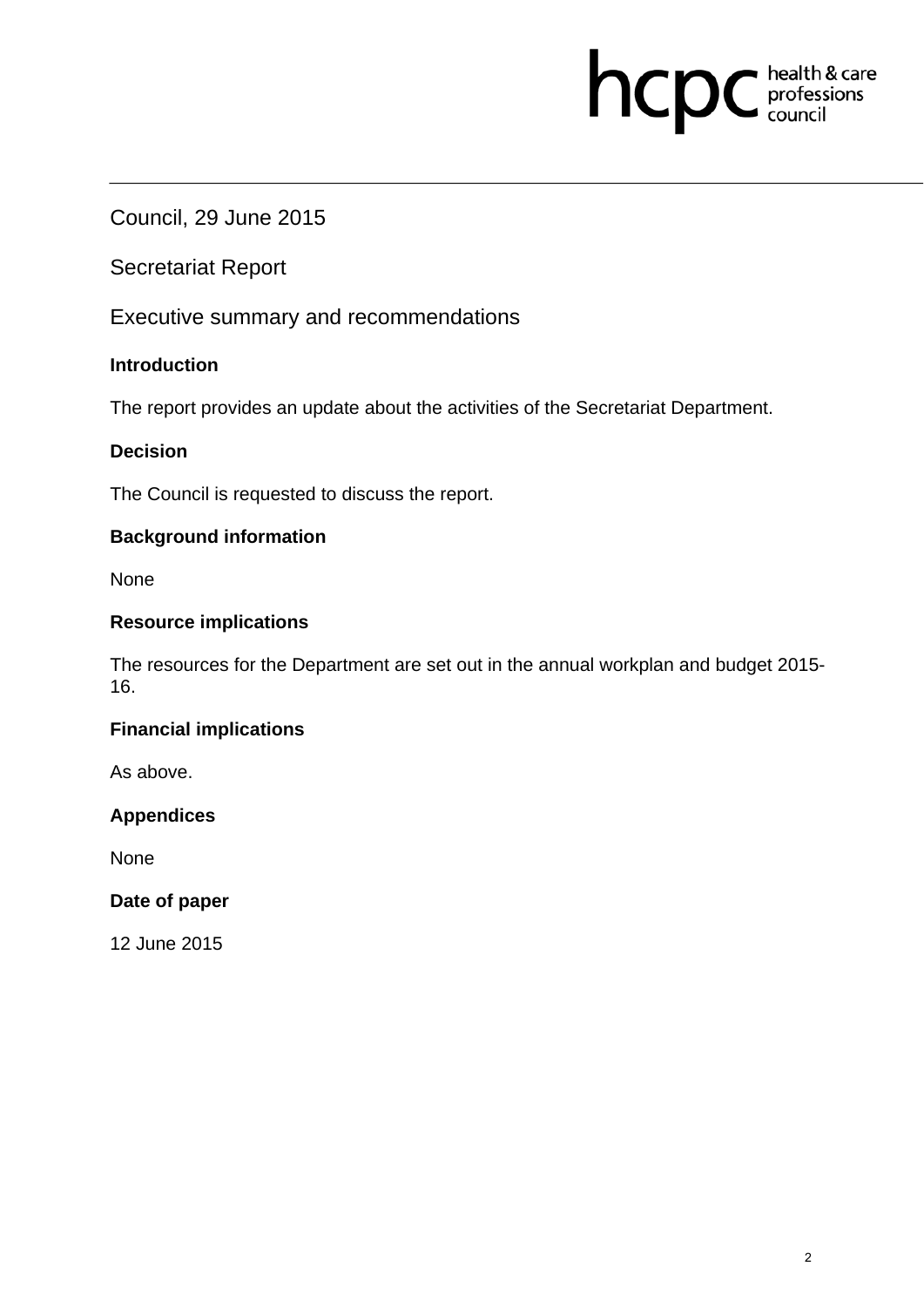# hcpc health & care

Council, 29 June 2015

Secretariat Report

Executive summary and recommendations

# **Introduction**

The report provides an update about the activities of the Secretariat Department.

## **Decision**

The Council is requested to discuss the report.

## **Background information**

None

## **Resource implications**

The resources for the Department are set out in the annual workplan and budget 2015- 16.

## **Financial implications**

As above.

## **Appendices**

None

## **Date of paper**

12 June 2015